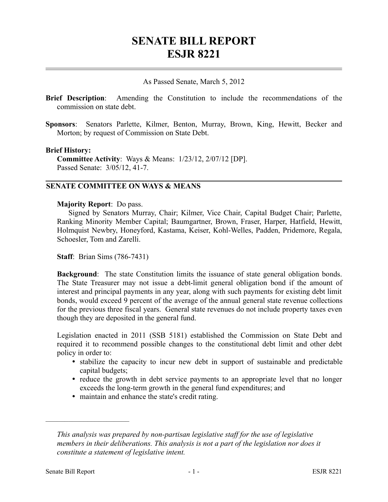# **SENATE BILL REPORT ESJR 8221**

### As Passed Senate, March 5, 2012

- **Brief Description**: Amending the Constitution to include the recommendations of the commission on state debt.
- **Sponsors**: Senators Parlette, Kilmer, Benton, Murray, Brown, King, Hewitt, Becker and Morton; by request of Commission on State Debt.

#### **Brief History:**

**Committee Activity**: Ways & Means: 1/23/12, 2/07/12 [DP]. Passed Senate: 3/05/12, 41-7.

## **SENATE COMMITTEE ON WAYS & MEANS**

#### **Majority Report**: Do pass.

Signed by Senators Murray, Chair; Kilmer, Vice Chair, Capital Budget Chair; Parlette, Ranking Minority Member Capital; Baumgartner, Brown, Fraser, Harper, Hatfield, Hewitt, Holmquist Newbry, Honeyford, Kastama, Keiser, Kohl-Welles, Padden, Pridemore, Regala, Schoesler, Tom and Zarelli.

**Staff**: Brian Sims (786-7431)

**Background**: The state Constitution limits the issuance of state general obligation bonds. The State Treasurer may not issue a debt-limit general obligation bond if the amount of interest and principal payments in any year, along with such payments for existing debt limit bonds, would exceed 9 percent of the average of the annual general state revenue collections for the previous three fiscal years. General state revenues do not include property taxes even though they are deposited in the general fund.

Legislation enacted in 2011 (SSB 5181) established the Commission on State Debt and required it to recommend possible changes to the constitutional debt limit and other debt policy in order to:

- stabilize the capacity to incur new debt in support of sustainable and predictable capital budgets;
- reduce the growth in debt service payments to an appropriate level that no longer exceeds the long-term growth in the general fund expenditures; and
- maintain and enhance the state's credit rating.

––––––––––––––––––––––

*This analysis was prepared by non-partisan legislative staff for the use of legislative members in their deliberations. This analysis is not a part of the legislation nor does it constitute a statement of legislative intent.*